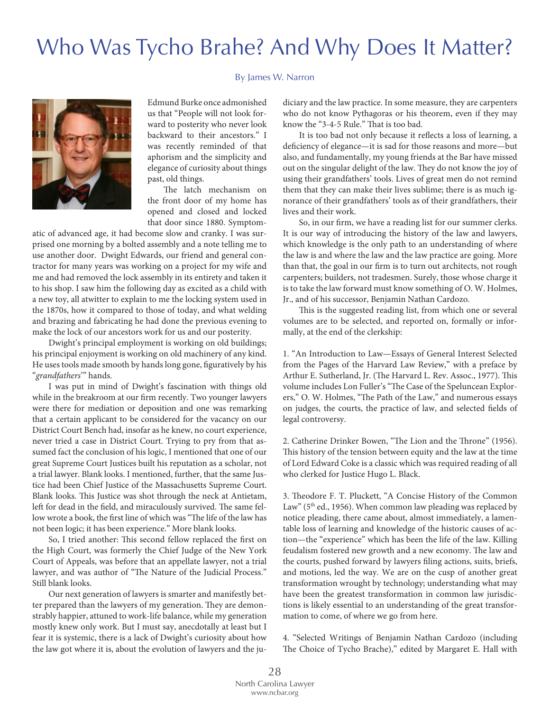## Who Was Tycho Brahe? And Why Does It Matter?

## By James W. Narron



Edmund Burke once admonished us that "People will not look forward to posterity who never look backward to their ancestors." I was recently reminded of that aphorism and the simplicity and elegance of curiosity about things past, old things.

The latch mechanism on the front door of my home has opened and closed and locked that door since 1880. Symptom-

atic of advanced age, it had become slow and cranky. I was surprised one morning by a bolted assembly and a note telling me to use another door. Dwight Edwards, our friend and general contractor for many years was working on a project for my wife and me and had removed the lock assembly in its entirety and taken it to his shop. I saw him the following day as excited as a child with a new toy, all atwitter to explain to me the locking system used in the 1870s, how it compared to those of today, and what welding and brazing and fabricating he had done the previous evening to make the lock of our ancestors work for us and our posterity.

Dwight's principal employment is working on old buildings; his principal enjoyment is working on old machinery of any kind. He uses tools made smooth by hands long gone, fguratively by his "*grandfathers*'" hands.

I was put in mind of Dwight's fascination with things old while in the breakroom at our frm recently. Two younger lawyers were there for mediation or deposition and one was remarking that a certain applicant to be considered for the vacancy on our District Court Bench had, insofar as he knew, no court experience, never tried a case in District Court. Trying to pry from that assumed fact the conclusion of his logic, I mentioned that one of our great Supreme Court Justices built his reputation as a scholar, not a trial lawyer. Blank looks. I mentioned, further, that the same Justice had been Chief Justice of the Massachusetts Supreme Court. Blank looks. This Justice was shot through the neck at Antietam, left for dead in the field, and miraculously survived. The same fellow wrote a book, the first line of which was "The life of the law has not been logic; it has been experience." More blank looks.

So, I tried another: This second fellow replaced the first on the High Court, was formerly the Chief Judge of the New York Court of Appeals, was before that an appellate lawyer, not a trial lawyer, and was author of "The Nature of the Judicial Process." Still blank looks.

Our next generation of lawyers is smarter and manifestly better prepared than the lawyers of my generation. They are demonstrably happier, attuned to work-life balance, while my generation mostly knew only work. But I must say, anecdotally at least but I fear it is systemic, there is a lack of Dwight's curiosity about how the law got where it is, about the evolution of lawyers and the judiciary and the law practice. In some measure, they are carpenters who do not know Pythagoras or his theorem, even if they may know the "3-4-5 Rule." That is too bad.

It is too bad not only because it refects a loss of learning, a deficiency of elegance—it is sad for those reasons and more—but also, and fundamentally, my young friends at the Bar have missed out on the singular delight of the law. They do not know the joy of using their grandfathers' tools. Lives of great men do not remind them that they can make their lives sublime; there is as much ignorance of their grandfathers' tools as of their grandfathers, their lives and their work.

So, in our frm, we have a reading list for our summer clerks. It is our way of introducing the history of the law and lawyers, which knowledge is the only path to an understanding of where the law is and where the law and the law practice are going. More than that, the goal in our frm is to turn out architects, not rough carpenters; builders, not tradesmen. Surely, those whose charge it is to take the law forward must know something of O. W. Holmes, Jr., and of his successor, Benjamin Nathan Cardozo.

This is the suggested reading list, from which one or several volumes are to be selected, and reported on, formally or informally, at the end of the clerkship:

1. "An Introduction to Law—Essays of General Interest Selected from the Pages of the Harvard Law Review," with a preface by Arthur E. Sutherland, Jr. (The Harvard L. Rev. Assoc., 1977). This volume includes Lon Fuller's "The Case of the Speluncean Explorers," O. W. Holmes, "The Path of the Law," and numerous essays on judges, the courts, the practice of law, and selected felds of legal controversy.

2. Catherine Drinker Bowen, "The Lion and the Throne" (1956). This history of the tension between equity and the law at the time of Lord Edward Coke is a classic which was required reading of all who clerked for Justice Hugo L. Black.

3. Theodore F. T. Pluckett, "A Concise History of the Common Law" ( $5<sup>th</sup>$  ed., 1956). When common law pleading was replaced by notice pleading, there came about, almost immediately, a lamentable loss of learning and knowledge of the historic causes of action—the "experience" which has been the life of the law. Killing feudalism fostered new growth and a new economy. The law and the courts, pushed forward by lawyers fling actions, suits, briefs, and motions, led the way. We are on the cusp of another great transformation wrought by technology; understanding what may have been the greatest transformation in common law jurisdictions is likely essential to an understanding of the great transformation to come, of where we go from here.

4. "Selected Writings of Benjamin Nathan Cardozo (including The Choice of Tycho Brache)," edited by Margaret E. Hall with